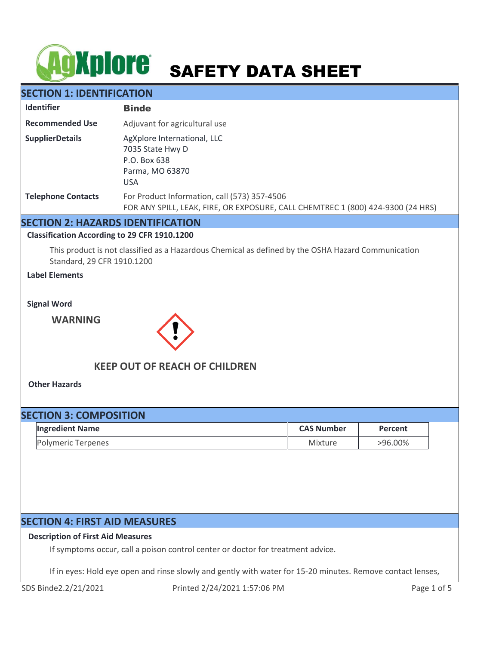# **AgXplore** SAFETY DATA SHEET

# **SECTION 1: IDENTIFICATION**

| <b>Identifier</b>         | <b>Binde</b>                                                                                                                    |
|---------------------------|---------------------------------------------------------------------------------------------------------------------------------|
| <b>Recommended Use</b>    | Adjuvant for agricultural use                                                                                                   |
| <b>SupplierDetails</b>    | AgXplore International, LLC<br>7035 State Hwy D<br>P.O. Box 638<br>Parma, MO 63870<br><b>USA</b>                                |
| <b>Telephone Contacts</b> | For Product Information, call (573) 357-4506<br>FOR ANY SPILL, LEAK, FIRE, OR EXPOSURE, CALL CHEMTREC 1 (800) 424-9300 (24 HRS) |

## **SECTION 2: HAZARDS IDENTIFICATION**

**Classification According to 29 CFR 1910.1200**

This product is not classified as a Hazardous Chemical as defined by the OSHA Hazard Communication Standard, 29 CFR 1910.1200

**Label Elements**

**Signal Word**

**WARNING**



# **KEEP OUT OF REACH OF CHILDREN**

**Other Hazards**

| <b>SECTION 3: COMPOSITION</b> |                        |                   |         |  |
|-------------------------------|------------------------|-------------------|---------|--|
|                               | <b>Ingredient Name</b> | <b>CAS Number</b> | Percent |  |
|                               | Polymeric Terpenes     | Mixture           | >96.00% |  |

# **SECTION 4: FIRST AID MEASURES**

## **Description of First Aid Measures**

If symptoms occur, call a poison control center or doctor for treatment advice.

If in eyes: Hold eye open and rinse slowly and gently with water for 15-20 minutes. Remove contact lenses,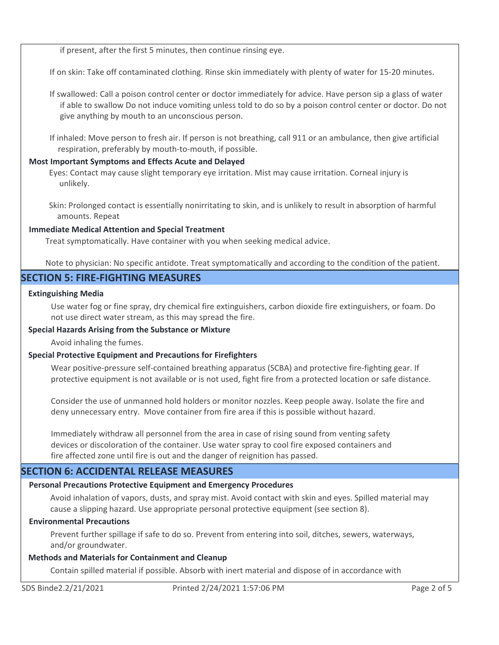if present, after the first 5 minutes, then continue rinsing eye.

If on skin: Take off contaminated clothing. Rinse skin immediately with plenty of water for 15-20 minutes.

If swallowed: Call a poison control center or doctor immediately for advice. Have person sip a glass of water if able to swallow Do not induce vomiting unless told to do so by a poison control center or doctor. Do not give anything by mouth to an unconscious person.

If inhaled: Move person to fresh air. If person is not breathing, call 911 or an ambulance, then give artificial respiration, preferably by mouth-to-mouth, if possible.

## **Most Important Symptoms and Effects Acute and Delayed**

Eyes: Contact may cause slight temporary eye irritation. Mist may cause irritation. Corneal injury is unlikely.

Skin: Prolonged contact is essentially nonirritating to skin, and is unlikely to result in absorption of harmful amounts. Repeat

## **Immediate Medical Attention and Special Treatment**

Treat symptomatically. Have container with you when seeking medical advice.

Note to physician: No specific antidote. Treat symptomatically and according to the condition of the patient.

# **SECTION 5: FIRE-FIGHTING MEASURES**

## **Extinguishing Media**

Use water fog or fine spray, dry chemical fire extinguishers, carbon dioxide fire extinguishers, or foam. Do not use direct water stream, as this may spread the fire.

## **Special Hazards Arising from the Substance or Mixture**

Avoid inhaling the fumes.

## **Special Protective Equipment and Precautions for Firefighters**

Wear positive-pressure self-contained breathing apparatus (SCBA) and protective fire-fighting gear. If protective equipment is not available or is not used, fight fire from a protected location or safe distance.

Consider the use of unmanned hold holders or monitor nozzles. Keep people away. Isolate the fire and deny unnecessary entry. Move container from fire area if this is possible without hazard.

Immediately withdraw all personnel from the area in case of rising sound from venting safety devices or discoloration of the container. Use water spray to cool fire exposed containers and fire affected zone until fire is out and the danger of reignition has passed.

# **SECTION 6: ACCIDENTAL RELEASE MEASURES**

## **Personal Precautions Protective Equipment and Emergency Procedures**

Avoid inhalation of vapors, dusts, and spray mist. Avoid contact with skin and eyes. Spilled material may cause a slipping hazard. Use appropriate personal protective equipment (see section 8).

## **Environmental Precautions**

Prevent further spillage if safe to do so. Prevent from entering into soil, ditches, sewers, waterways, and/or groundwater.

## **Methods and Materials for Containment and Cleanup**

Contain spilled material if possible. Absorb with inert material and dispose of in accordance with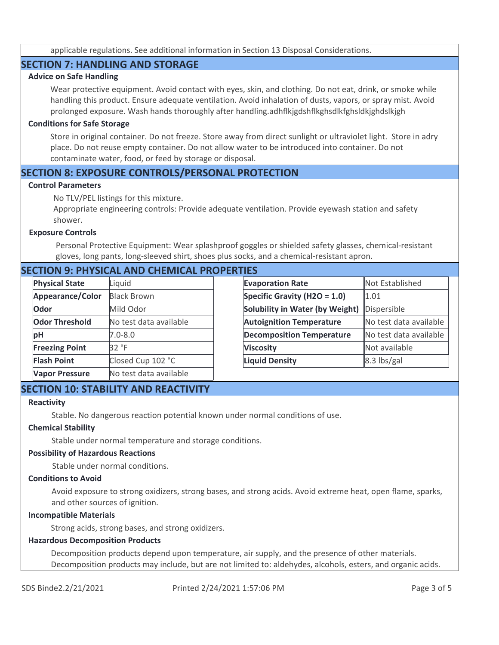applicable regulations. See additional information in Section 13 Disposal Considerations.

## **SECTION 7: HANDLING AND STORAGE**

## **Advice on Safe Handling**

Wear protective equipment. Avoid contact with eyes, skin, and clothing. Do not eat, drink, or smoke while handling this product. Ensure adequate ventilation. Avoid inhalation of dusts, vapors, or spray mist. Avoid prolonged exposure. Wash hands thoroughly after handling.adhflkjgdshflkghsdlkfghsldkjghdslkjgh

#### **Conditions for Safe Storage**

Store in original container. Do not freeze. Store away from direct sunlight or ultraviolet light. Store in adry place. Do not reuse empty container. Do not allow water to be introduced into container. Do not contaminate water, food, or feed by storage or disposal.

## **SECTION 8: EXPOSURE CONTROLS/PERSONAL PROTECTION**

#### **Control Parameters**

No TLV/PEL listings for this mixture.

Appropriate engineering controls: Provide adequate ventilation. Provide eyewash station and safety shower.

#### **Exposure Controls**

Personal Protective Equipment: Wear splashproof goggles or shielded safety glasses, chemical-resistant gloves, long pants, long-sleeved shirt, shoes plus socks, and a chemical-resistant apron.

## **SECTION 9: PHYSICAL AND CHEMICAL PROPERTIES**

| <b>Physical State</b> | Liquid                 |
|-----------------------|------------------------|
| Appearance/Color      | <b>Black Brown</b>     |
| Odor                  | Mild Odor              |
| <b>Odor Threshold</b> | No test data available |
| рH                    | $7.0 - 8.0$            |
| <b>Freezing Point</b> | 32 °F                  |
| <b>Flash Point</b>    | Closed Cup 102 °C      |
| <b>Vapor Pressure</b> | No test data available |

| <b>Not Established</b> |
|------------------------|
| 1.01                   |
| Dispersible            |
| No test data available |
| No test data available |
| Not available          |
| $8.3$ lbs/gal          |
|                        |

# **SECTION 10: STABILITY AND REACTIVITY**

#### **Reactivity**

Stable. No dangerous reaction potential known under normal conditions of use.

#### **Chemical Stability**

Stable under normal temperature and storage conditions.

#### **Possibility of Hazardous Reactions**

Stable under normal conditions.

#### **Conditions to Avoid**

Avoid exposure to strong oxidizers, strong bases, and strong acids. Avoid extreme heat, open flame, sparks, and other sources of ignition.

#### **Incompatible Materials**

Strong acids, strong bases, and strong oxidizers.

#### **Hazardous Decomposition Products**

Decomposition products depend upon temperature, air supply, and the presence of other materials. Decomposition products may include, but are not limited to: aldehydes, alcohols, esters, and organic acids.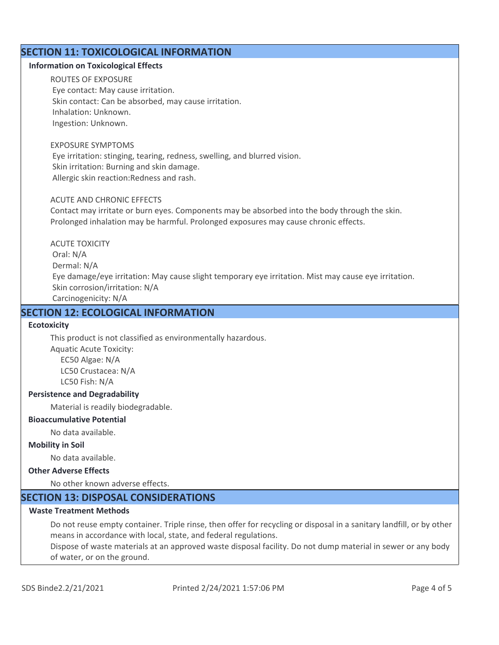# **SECTION 11: TOXICOLOGICAL INFORMATION**

#### **Information on Toxicological Effects**

ROUTES OF EXPOSURE Eye contact: May cause irritation. Skin contact: Can be absorbed, may cause irritation. Inhalation: Unknown. Ingestion: Unknown.

#### EXPOSURE SYMPTOMS

 Eye irritation: stinging, tearing, redness, swelling, and blurred vision. Skin irritation: Burning and skin damage. Allergic skin reaction:Redness and rash.

#### ACUTE AND CHRONIC EFFECTS

Contact may irritate or burn eyes. Components may be absorbed into the body through the skin. Prolonged inhalation may be harmful. Prolonged exposures may cause chronic effects.

ACUTE TOXICITY Oral: N/A Dermal: N/A Eye damage/eye irritation: May cause slight temporary eye irritation. Mist may cause eye irritation. Skin corrosion/irritation: N/A Carcinogenicity: N/A

# **SECTION 12: ECOLOGICAL INFORMATION**

#### **Ecotoxicity**

This product is not classified as environmentally hazardous. Aquatic Acute Toxicity: EC50 Algae: N/A LC50 Crustacea: N/A

LC50 Fish: N/A

#### **Persistence and Degradability**

Material is readily biodegradable.

#### **Bioaccumulative Potential**

No data available.

#### **Mobility in Soil**

No data available.

#### **Other Adverse Effects**

No other known adverse effects.

## **SECTION 13: DISPOSAL CONSIDERATIONS**

## **Waste Treatment Methods**

Do not reuse empty container. Triple rinse, then offer for recycling or disposal in a sanitary landfill, or by other means in accordance with local, state, and federal regulations.

Dispose of waste materials at an approved waste disposal facility. Do not dump material in sewer or any body of water, or on the ground.